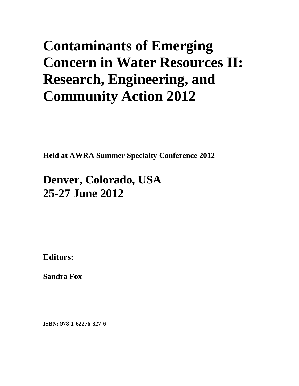# **Contaminants of Emerging Concern in Water Resources II: Research, Engineering, and Community Action 2012**

**Held at AWRA Summer Specialty Conference 2012** 

# **Denver, Colorado, USA 25-27 June 2012**

**Editors:** 

**Sandra Fox** 

**ISBN: 978-1-62276-327-6**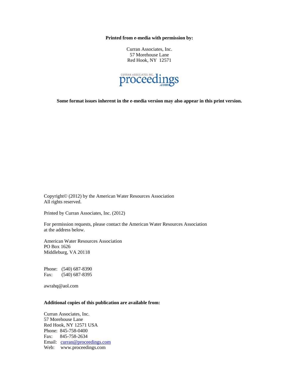**Printed from e-media with permission by:** 

Curran Associates, Inc. 57 Morehouse Lane Red Hook, NY 12571



**Some format issues inherent in the e-media version may also appear in this print version.** 

Copyright© (2012) by the American Water Resources Association All rights reserved.

Printed by Curran Associates, Inc. (2012)

For permission requests, please contact the American Water Resources Association at the address below.

American Water Resources Association PO Box 1626 Middleburg, VA 20118

Phone: (540) 687-8390 Fax: (540) 687-8395

awrahq@aol.com

# **Additional copies of this publication are available from:**

Curran Associates, Inc. 57 Morehouse Lane Red Hook, NY 12571 USA Phone: 845-758-0400 Fax: 845-758-2634 Email: curran@proceedings.com Web: www.proceedings.com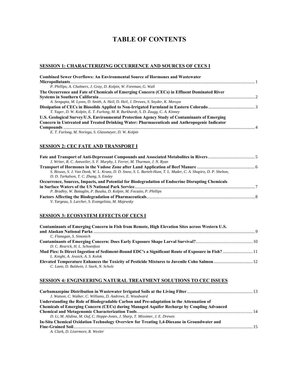# **TABLE OF CONTENTS**

# **SESSION 1: CHARACTERIZING OCCURRENCE AND SOURCES OF CECS I**

| <b>Combined Sewer Overflows: An Environmental Source of Hormones and Wastewater</b>                                                                                                           |  |
|-----------------------------------------------------------------------------------------------------------------------------------------------------------------------------------------------|--|
|                                                                                                                                                                                               |  |
| P. Phillips, A. Chalmers, J. Gray, D. Kolpin, W. Foreman, G. Wall                                                                                                                             |  |
| The Occurrence and Fate of Chemicals of Emerging Concern (CECs) in Effluent Dominated River                                                                                                   |  |
|                                                                                                                                                                                               |  |
| A. Sengupta, M. Lyons, D. Smith, A. Heil, D. Heil, J. Drewes, S. Snyder, K. Maruya                                                                                                            |  |
| T. Yager, D. W. Kolpin, E. T. Furlong, M. R. Burkhardt, S. D. Zaugg, C. A. Kinney                                                                                                             |  |
| U.S. Geological Survey/U.S. Environmental Protection Agency Study of Contaminants of Emerging<br>Concern in Untreated and Treated Drinking Water: Pharmaceuticals and Anthropogenic Indicator |  |
|                                                                                                                                                                                               |  |
| E. T. Furlong, M. Noriega, S. Glassmeyer, D. W. Kolpin                                                                                                                                        |  |

**SESSION 2: CEC FATE AND TRANSPORT I**

| J. Writer, R. C. Antweiler, S. F. Murphy, I. Ferrer, M. Thurman, J. N. Ryan                                        |  |
|--------------------------------------------------------------------------------------------------------------------|--|
|                                                                                                                    |  |
| S. Biswas, S. J. Van Donk, W. L. Kranz, D. D. Snow, S. L. Bartelt-Hunt, T. L. Mader, C. A. Shapiro, D. P. Shelton, |  |
| D. D. Tarkalson, T. C. Zhang, S. Ensley                                                                            |  |
| Occurrence, Sources, Impacts, and Potential for Biodegradation of Endocrine Disrupting Chemicals                   |  |
|                                                                                                                    |  |
| P. Bradley, W. Battaglin, P. Buszka, D. Kolpin, M. Focazio, P. Phillips                                            |  |
|                                                                                                                    |  |
| V. Yargeau, S. Larcher, S. Evangelista, M. Majewsky                                                                |  |

# **SESSION 3: ECOSYSTEM EFFECTS OF CECS I**

| Contaminants of Emerging Concern in Fish from Remote, High Elevation Sites across Western U.S.    |  |
|---------------------------------------------------------------------------------------------------|--|
|                                                                                                   |  |
| C. Flanagan, S. Simonich                                                                          |  |
|                                                                                                   |  |
| D. C. Rearick, H. L. Schoenfuss                                                                   |  |
| Mud Pies: Is Direct Ingestion of Sediment-Bound EDC's a Significant Route of Exposure in Fish? 11 |  |
| L. Knight, A. Jessick, A. S. Kolok                                                                |  |
|                                                                                                   |  |
| C. Laetz, D. Baldwin, J. Stark, N. Scholz                                                         |  |

# **SESSION 4: ENGINEERING NATURAL TREATMENT SOLUTIONS TO CEC ISSUES**

| J. Watson, C. Walker, C. Williams, D. Andrews, E. Woodward                                       |  |
|--------------------------------------------------------------------------------------------------|--|
| Understanding the Role of Biodegradable Carbon and Pre-adaptation in the Attenuation of          |  |
| <b>Chemicals of Emerging Concern (CECs) during Managed Aquifer Recharge by Coupling Advanced</b> |  |
|                                                                                                  |  |
| D. Li, M. Alidina, M. Ouf, C. Hoppe-Jones, J. Sharp, T. Missimer, J. E. Drewes                   |  |
| In-Situ Chemical Oxidation Technology Overview for Treating 1.4-Dioxane in Groundwater and       |  |
|                                                                                                  |  |
| A. Clark, D. Livermore, R. Wexler                                                                |  |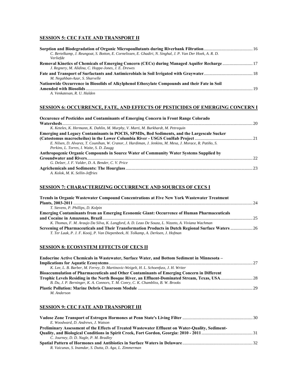# **SESSION 5: CEC FATE AND TRANSPORT II**

| C. Bertelkamp, J. Reungoat, S. Botton, E. Cornelissen, E. Ghadiri, N. Singhal, J. P. Van Der Hoek, A. R. D. |      |
|-------------------------------------------------------------------------------------------------------------|------|
| Verliefde                                                                                                   |      |
|                                                                                                             |      |
| J. Regnery, M. Alidina, C. Hoppe-Jones, J. E. Drewes                                                        |      |
|                                                                                                             |      |
| M. Negahban-Azar, S. Sharvelle                                                                              |      |
| Nationwide Occurrence in Biosolids of Alkylphenol Ethoxylate Compounds and their Fate in Soil               |      |
|                                                                                                             | - 19 |
| A. Venkatesan, R. U. Halden                                                                                 |      |

# **SESSION 6: OCCURRENCE, FATE, AND EFFECTS OF PESTICIDES OF EMERGING CONCERN I**

| <b>Occurence of Pesticides and Contaminants of Emerging Concern in Front Range Colorado</b>               |    |
|-----------------------------------------------------------------------------------------------------------|----|
|                                                                                                           | 20 |
| K. Keteles, K. Hermann, K. Dahlin, M. Murphy, V. Marti, M. Burkhardt, M. Petrequin                        |    |
| Emerging and Legacy Contaminants in POCIS, SPMDs, Bed Sediments, and the Largescale Sucker                |    |
|                                                                                                           |    |
| E. Nilsen, D. Alvarez, T. Counihan, W. Cranor, J. Hardiman, J. Jenkins, M. Mesa, J. Morace, R. Patiño, S. |    |
| Perkins, L. Torres, I. Waite, S. D. Zaugg                                                                 |    |
| Anthropogenic Organic Compounds in Source Water of Community Water Systems Supplied by                    |    |
|                                                                                                           | າາ |
| G. Delzer, J. F. Valder, D. A. Bender, C. V. Price                                                        |    |
|                                                                                                           |    |
| A. Kolok, M. K. Sellin-Jeffries                                                                           |    |

## **SESSION 7: CHARACTERIZING OCCURRENCE AND SOURCES OF CECS I**

| <b>Trends in Organic Wastewater Compound Concentrations at Five New York Wastewater Treatment</b>   |  |
|-----------------------------------------------------------------------------------------------------|--|
|                                                                                                     |  |
| T. Stevens, P. Phillips, D. Kolpin                                                                  |  |
| <b>Emerging Contaminants from an Emerging Economic Giant: Occurrence of Human Pharmaceuticals</b>   |  |
|                                                                                                     |  |
| K. Thomas, F. M. Araujo Da Silva, K. Langford, A. D. Leao De Souza, L. Nizzeto, A. Viviana Wachman  |  |
| Screening of Pharmaceuticals and Their Transformation Products in Dutch Regional Surface Waters  26 |  |
| T. Ter Laak, P. J. F. Kooij, P. Van Diepenbeek, H. Tolkamp, A. Derksen, J. Hofman                   |  |
|                                                                                                     |  |

# **SESSION 8: ECOSYSTEM EFFECTS OF CECS II**

| Endocrine Active Chemicals in Wastewater, Surface Water, and Bottom Sediment in Minnesota –       |  |
|---------------------------------------------------------------------------------------------------|--|
|                                                                                                   |  |
| K. Lee, L. B. Barber, M. Ferrey, D. Martinovic-Weigelt, H. L. Schoenfuss, J. H. Writer            |  |
| <b>Bioaccumulation of Pharmaceuticals and Other Contaminants of Emerging Concern in Different</b> |  |
|                                                                                                   |  |
| B. Du, J. P. Berninger, K. A. Connors, T. M. Conry, C. K. Chambliss, B. W. Brooks                 |  |
|                                                                                                   |  |

## *M. Anderson*

# **SESSION 9: CEC FATE AND TRANSPORT III**

| E. Woodward, D. Andrews, J. Watson                                                               |  |
|--------------------------------------------------------------------------------------------------|--|
| Preliminary Assessment of the Effects of Treated Wastewater Effluent on Water-Quality, Sediment- |  |
|                                                                                                  |  |
| C. Journey, D. D. Nagle, P. M. Bradley                                                           |  |
|                                                                                                  |  |
| R. Vaicunas, S. Inamdar, S. Dutta, D. Aga, L. Zimmerman                                          |  |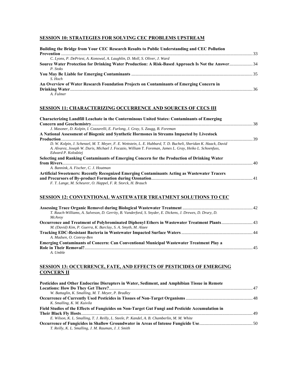# **SESSION 10: STRATEGIES FOR SOLVING CEC PROBLEMS UPSTREAM**

| Building the Bridge from Your CEC Research Results to Public Understanding and CEC Pollution     |  |
|--------------------------------------------------------------------------------------------------|--|
| C. Lyons, P. DePriest, A. Konowal, A. Laughlin, D. Moll, S. Oliver, J. Ward                      |  |
| Source Water Protection for Drinking Water Production: A Risk-Based Approach Is Not the Answer34 |  |
| P. Stoks                                                                                         |  |
| S. Hoch                                                                                          |  |
| An Overview of Water Research Foundation Projects on Contaminants of Emerging Concern in         |  |
|                                                                                                  |  |
| A. Fulmer                                                                                        |  |

### **SESSION 11: CHARACTERIZING OCCURRENCE AND SOURCES OF CECS III**

| <b>Characterizing Landfill Leachate in the Conterminous United States: Contaminants of Emerging</b>                                                                                                                         |  |
|-----------------------------------------------------------------------------------------------------------------------------------------------------------------------------------------------------------------------------|--|
|                                                                                                                                                                                                                             |  |
| J. Masoner, D. Kolpin, I. Cozzarelli, E. Furlong, J. Gray, S. Zaugg, B. Foreman                                                                                                                                             |  |
| A National Assessment of Biogenic and Synthetic Hormones in Streams Impacted by Livestock                                                                                                                                   |  |
|                                                                                                                                                                                                                             |  |
| D. W. Kolpin, J. Schenzel, M. T. Meyer, F. E. Wettstein, L. E. Hubbard, T. D. Bucheli, Sheridan K. Haack, David<br>A. Alvarez, Joseph W. Duris, Michael J. Focazio, William T. Foreman, James L. Gray, Heiko L. Schoenfuss, |  |
| Edward P. Kolodziei                                                                                                                                                                                                         |  |
| Selecting and Ranking Contaminants of Emerging Concern for the Production of Drinking Water                                                                                                                                 |  |
|                                                                                                                                                                                                                             |  |
| A. Bannink, A. Fischer, C. J. Houtman                                                                                                                                                                                       |  |
| Artificial Sweeteners: Recently Recognized Emerging Contaminants Acting as Wastewater Tracers                                                                                                                               |  |
|                                                                                                                                                                                                                             |  |
| F. T. Lange, M. Scheurer, O. Happel, F. R. Storck, H. Brauch                                                                                                                                                                |  |

# **SESSION 12: CONVENTIONAL WASTEWATER TREATMENT SOLUTIONS TO CEC**

| T. Rauch-Williams, A. Salveson, D. Gerrity, B. Vanderford, S. Snyder, E. Dickens, J. Drewes, D. Drury, D. |    |
|-----------------------------------------------------------------------------------------------------------|----|
| McAvov                                                                                                    |    |
|                                                                                                           |    |
| M. (David) Kim, P. Guerra, K. Barclay, S. A. Smyth, M. Alaee                                              |    |
|                                                                                                           |    |
| A. Madsen, O. Conroy-Ben                                                                                  |    |
| <b>Emerging Contaminants of Concern: Can Conventional Municipal Wastewater Treatment Play a</b>           |    |
|                                                                                                           | 45 |
| A. Umble                                                                                                  |    |

# **SESSION 13: OCCURRENCE, FATE, AND EFFECTS OF PESTICIDES OF EMERGING CONCERN II**

| Pesticides and Other Endocrine Disrupters in Water, Sediment, and Amphibian Tissue in Remote     |  |
|--------------------------------------------------------------------------------------------------|--|
|                                                                                                  |  |
| W. Battaglin, K. Smalling, M. T. Meyer, P. Bradley                                               |  |
|                                                                                                  |  |
| K. Smalling, K. M. Kuivila                                                                       |  |
| Field Studies of the Effects of Fungicides on Non-Target Gut Fungi and Pesticide Accumulation in |  |
|                                                                                                  |  |
| E. Wilson, K. L. Smalling, T. J. Reilly, L. Steele, P. Kandel, A. B. Chamberlin, M. M. White     |  |
|                                                                                                  |  |
| T. Reilly, K. L. Smalling, J. M. Rauman, J. J. Smith                                             |  |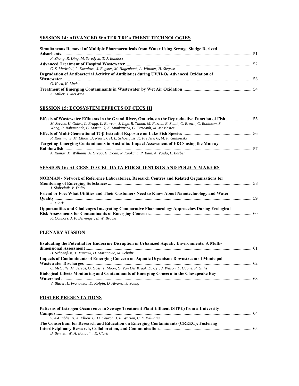# **SESSION 14: ADVANCED WATER TREATMENT TECHNOLOGIES**

| Simultaneous Removal of Multiple Pharmaceuticals from Water Using Sewage Sludge Derived                            |  |
|--------------------------------------------------------------------------------------------------------------------|--|
|                                                                                                                    |  |
| P. Zhang, R. Ding, M. Seredych, T. J. Bandosz                                                                      |  |
|                                                                                                                    |  |
| C. S. McArdell, L. Kovalova, J. Eugster, M. Hagenbuch, A. Wittmer, H. Siegrist                                     |  |
| Degradation of Antibacterial Activity of Antibiotics during UV/H <sub>2</sub> O <sub>2</sub> Advanced Oxidation of |  |
|                                                                                                                    |  |
| O. Keen. K. Linden                                                                                                 |  |
|                                                                                                                    |  |
| K. Miller. J. McGrew                                                                                               |  |

# **SESSION 15: ECOSYSTEM EFFECTS OF CECS III**

| Effects of Wastewater Effluents in the Grand River, Ontario, on the Reproductive Function of Fish 55        |      |
|-------------------------------------------------------------------------------------------------------------|------|
| M. Servos, K. Oakes, L. Bragg, L. Bowron, J. Ings, R. Tanna, M. Fuzzen, B. Smith, C. Brown, C. Robinson, S. |      |
| Wang, P. Bahamonde, C. Martinuk, K. Munkittrick, G. Tetreault, M. McMaster                                  |      |
|                                                                                                             |      |
| R. Kiesling, S. M. Elliott, D. Rearick, H. L. Schoenfuss, K. Fredericks, M. P. Gaikowski                    |      |
| Targeting Emerging Contaminants in Australia: Impact Assessment of EDCs using the Murray                    |      |
|                                                                                                             | - 57 |
|                                                                                                             |      |

*A. Kumar, M. Williams, A. Gregg, H. Doan, R. Kookana, P. Bain, A. Vajda, L. Barber* 

# **SESSION 16: ACCESS TO CEC DATA FOR SCIENTISTS AND POLICY MAKERS**

| NORMAN - Network of Reference Laboratories, Research Centres and Related Organisations for            |  |
|-------------------------------------------------------------------------------------------------------|--|
|                                                                                                       |  |
| J. Slobodnik, V. Dulio                                                                                |  |
| Friend or Foe: What Utilities and Their Customers Need to Know About Nanotechnology and Water         |  |
|                                                                                                       |  |
| K. Clark                                                                                              |  |
| <b>Opportunities and Challenges Integrating Comparative Pharmacology Approaches During Ecological</b> |  |
|                                                                                                       |  |
| K. Connors, J. P. Berninger, B. W. Brooks                                                             |  |

# **PLENARY SESSION**

| Evaluating the Potential for Endocrine Disruption in Urbanized Aquatic Environments: A Multi-                                                                                                                                                                                                    |  |
|--------------------------------------------------------------------------------------------------------------------------------------------------------------------------------------------------------------------------------------------------------------------------------------------------|--|
|                                                                                                                                                                                                                                                                                                  |  |
| H. Schoenfuss, T. Minarik, D. Martinovic, M. Schultz                                                                                                                                                                                                                                             |  |
| <b>Impacts of Contaminants of Emerging Concern on Aquatic Organisms Downstream of Municipal</b>                                                                                                                                                                                                  |  |
|                                                                                                                                                                                                                                                                                                  |  |
| C. Metcalfe, M. Servos, G. Goss, T. Moon, G. Van Der Kraak, D. Cyr, J. Wilson, F. Gagné, P. Gillis                                                                                                                                                                                               |  |
| <b>Biological Effects Monitoring and Contaminants of Emerging Concern in the Chesapeake Bay</b>                                                                                                                                                                                                  |  |
|                                                                                                                                                                                                                                                                                                  |  |
| $\mathbf{r}$ and $\mathbf{r}$ and $\mathbf{r}$ and $\mathbf{r}$ and $\mathbf{r}$ and $\mathbf{r}$ and $\mathbf{r}$ and $\mathbf{r}$ and $\mathbf{r}$ and $\mathbf{r}$ and $\mathbf{r}$ and $\mathbf{r}$ and $\mathbf{r}$ and $\mathbf{r}$ and $\mathbf{r}$ and $\mathbf{r}$ and $\mathbf{r}$ and |  |

*V. Blazer, L. Iwanowicz, D. Kolpin, D. Alvarez, J. Young* 

# **POSTER PRESENTATIONS**

| Patterns of Estrogen Occurrence in Sewage Treatment Plant Effluent (STPE) from a University |  |
|---------------------------------------------------------------------------------------------|--|
|                                                                                             |  |
| S. A-Hiablie, H. A. Elliott, C. D. Church, J. E. Watson, C. F. Williams                     |  |
| The Consortium for Research and Education on Emerging Contaminants (CREEC): Fostering       |  |
|                                                                                             |  |
| B. Bennett, W. A. Battaglin, K. Clark                                                       |  |